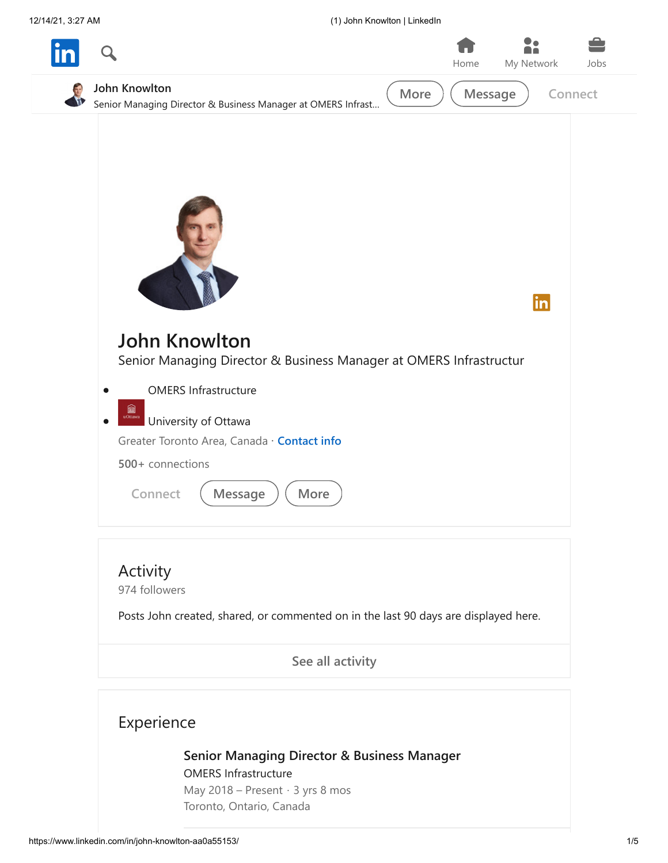12/14/21, 3:27 AM (1) John Knowlton | LinkedIn



Posts John created, shared, or commented on in the last 90 days are displayed here.

**[See all activity](https://www.linkedin.com/in/john-knowlton-aa0a55153/detail/recent-activity/)**



**[Senior Managing Director & Business Manager](https://www.linkedin.com/search/results/all/?keywords=OMERS%20Infrastructure&sid=Bzm)**

OMERS Infrastructure May 2018 – Present · 3 yrs 8 mos Toronto, Ontario, Canada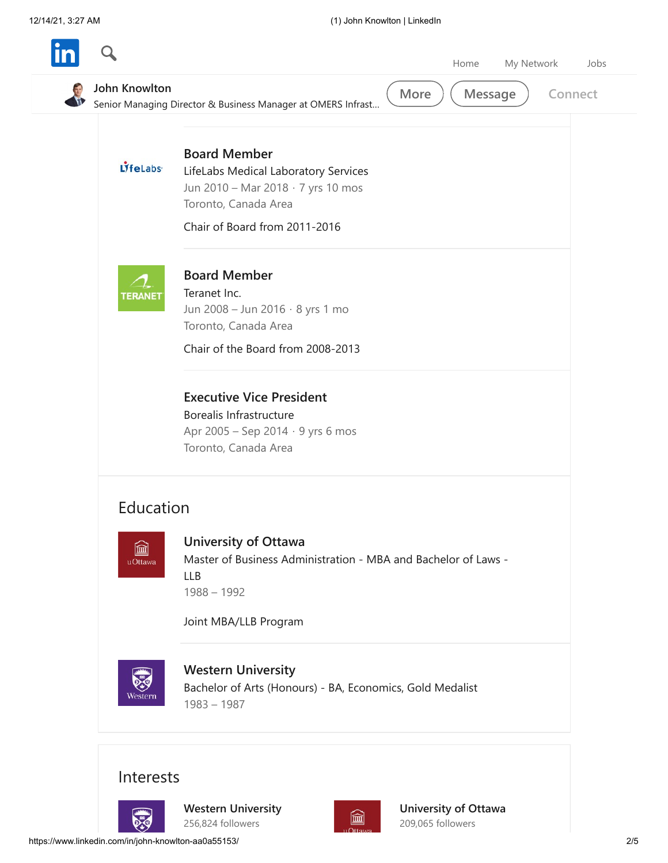|                       | My Network<br>Home<br>Jobs                                                                                                                                 |
|-----------------------|------------------------------------------------------------------------------------------------------------------------------------------------------------|
| John Knowlton         | More<br><b>Message</b><br>Connect<br>Senior Managing Director & Business Manager at OMERS Infrast                                                          |
| LifeLabs <sup>®</sup> | <b>Board Member</b><br>LifeLabs Medical Laboratory Services<br>Jun 2010 - Mar 2018 · 7 yrs 10 mos<br>Toronto, Canada Area<br>Chair of Board from 2011-2016 |
| <b>TERANE</b>         | <b>Board Member</b><br>Teranet Inc.<br>Jun 2008 - Jun 2016 · 8 yrs 1 mo<br>Toronto, Canada Area<br>Chair of the Board from 2008-2013                       |
|                       | <b>Executive Vice President</b><br>Borealis Infrastructure<br>Apr 2005 - Sep 2014 · 9 yrs 6 mos<br>Toronto, Canada Area                                    |
| Education             |                                                                                                                                                            |
| 圙<br>uOttawa          | <b>University of Ottawa</b><br>Master of Business Administration - MBA and Bachelor of Laws -<br><b>LLB</b><br>$1988 - 1992$<br>Joint MBA/LLB Program      |
| vesterr               | <b>Western University</b><br>Bachelor of Arts (Honours) - BA, Economics, Gold Medalist<br>$1983 - 1987$                                                    |
| Interests             |                                                                                                                                                            |
|                       | University of Ottawa<br><b>Western University</b><br>圙<br>256,824 followers<br>209,065 followers<br>⊔Ottawa                                                |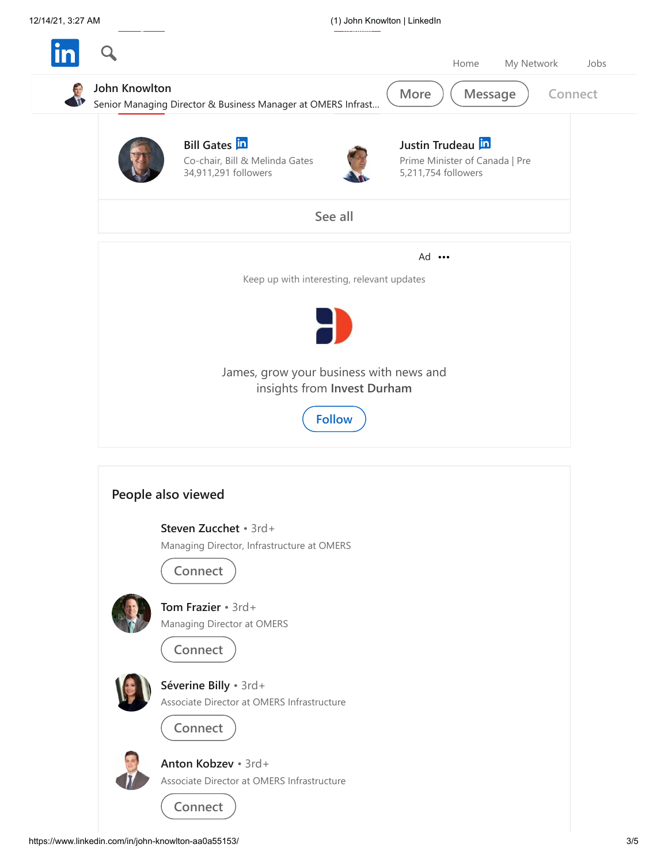

**Connect**



**Tom Frazier** • 3rd+ [Managing Director at OMERS](https://www.linkedin.com/in/tom-frazier-774239/)

**Connect**



**Séverine Billy** • 3rd+ [Associate Director at OMERS Infrastructure](https://www.linkedin.com/in/s%C3%A9verine-billy-59b5b636/)



**Connect**



**Anton Kobzev** • 3rd+ [Associate Director at OMERS Infrastructure](https://www.linkedin.com/in/anton-kobzev-b7b38517/)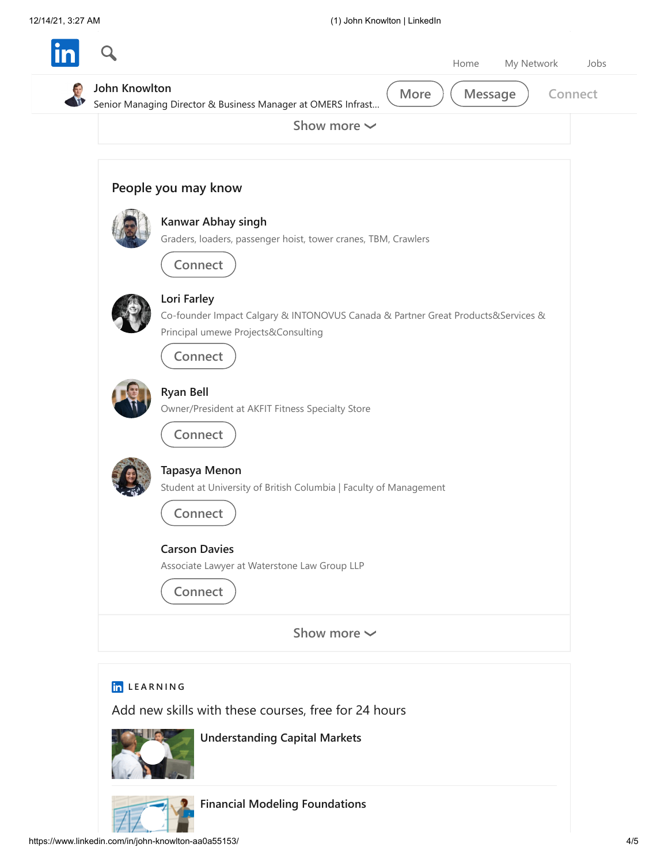| Senior Managing Director & Business Manager at OMERS Infrast                                                                           |
|----------------------------------------------------------------------------------------------------------------------------------------|
| Show more $\sim$                                                                                                                       |
| People you may know                                                                                                                    |
| Kanwar Abhay singh<br>Graders, loaders, passenger hoist, tower cranes, TBM, Crawlers<br>Connect                                        |
| Lori Farley<br>Co-founder Impact Calgary & INTONOVUS Canada & Partner Great Products&Services &<br>Principal umewe Projects&Consulting |
| Connect<br><b>Ryan Bell</b><br>Owner/President at AKFIT Fitness Specialty Store<br>Connect                                             |
| Tapasya Menon<br>Student at University of British Columbia   Faculty of Management<br>Connect                                          |
| <b>Carson Davies</b><br>Associate Lawyer at Waterstone Law Group LLP<br>Connect                                                        |
| Show more $\sim$                                                                                                                       |



**[Understanding Capital Markets](https://www.linkedin.com/learning/understanding-capital-markets?courseClaim=AQHdY49zUVksVAAAAX24sdY9zB7UEfE-gmpKXlS5X3C_MSWJSaP74x1rHH_Wf9M69LyWz6DUn9cNpnGOWmp6qdjg8ZXUHvwAReMKtImdN55q5f0XniGKoO34yoegE2h9ESetlK3ZWJzRd_F7wHf3N6nVM8VCg2amX-YQbvpJO2AgsPWmtW6YuUDC-TnzmrcQtJrbdqd7JVbst2eGL4YjwHoHBWwtMbXG4Z1JYiZdkR0Ca9l-9lGv3VFD_qPzk81pd6vcKcGzWCcdbjnQFaNkk07ouXpfEym4z9-aj80-ryGphCcz7OMiaURKu7S_6cVsMvfTHoXidAT11ei7gPYCoxW-3flANN02RPO-BGigQ826VgeYDiQQjwi50xgl7pwZBbyUX52RjljD0jVuILx73b7D2NrByf7RtpIJVn8v9_cmRQDbD6bc3HwmvuR0krkUsEy6po-tRiOoec9FsxjZ6DZe4aSP-sXH2GbFzyWr80FMzAfcQHDPXdZoY58TG_UYjJC8haYjp2wkp8-WwhdCafvNAq7-fv4WGzFORRcqyd09LUE0kNSHiSl1KeuZxhSQ33E5o0SbsyHAJvP30db2lPTAwvDJphxfivOJ3XaFl1CXHcKApDhX7JZRFWIhV5AlVNnBbx7fMIEKfGOzgMI6Jiu8Jeuy-Kz34wqypoZL3S5YCjZ5FX5hznjEq7IBA1EQcoPd&isLearningSubscriber=false&trk=profileNonSelf_d_flagship3_profile_view_base_learningFeedm015_5043070_learning)**



**[Financial Modeling Foundations](https://www.linkedin.com/learning/financial-modeling-foundations?isLearningSubscriber=false&trk=profileNonSelf_d_flagship3_profile_view_base_learningFeedm015_697709_learning)**